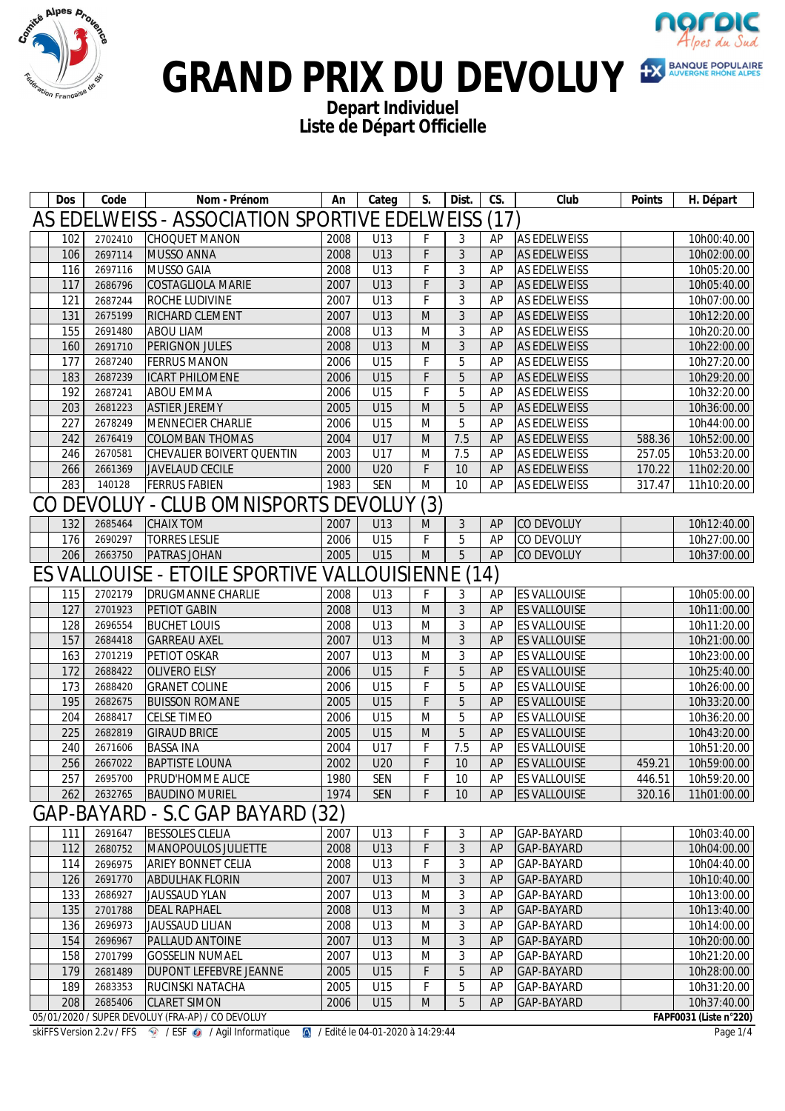



### GRAND PRIX DU DEVOLUY <sup>EX BANQUE POPULAIRE</sub></sup>

**Depart Individuel Liste de Départ Officielle**

|                                                    | <b>Dos</b> | Code    | Nom - Prénom                                      | An   | Categ      | S.  | Dist.          | CS. | Club                | <b>Points</b> | H. Départ              |
|----------------------------------------------------|------------|---------|---------------------------------------------------|------|------------|-----|----------------|-----|---------------------|---------------|------------------------|
| AS EDELWEISS - ASSOCIATION SPORTIVE EDELWEISS (17) |            |         |                                                   |      |            |     |                |     |                     |               |                        |
|                                                    | 102        | 2702410 | CHOQUET MANON                                     | 2008 | U13        | F   | 3              | AP  | <b>AS EDELWEISS</b> |               | 10h00:40.00            |
|                                                    | 106        | 2697114 | MUSSO ANNA                                        | 2008 | U13        | F   | 3              | AP  | <b>AS EDELWEISS</b> |               | 10h02:00.00            |
|                                                    | 116        | 2697116 | MUSSO GAIA                                        | 2008 | U13        | F   | 3              | AP  | AS EDELWEISS        |               | 10h05:20.00            |
|                                                    | 117        | 2686796 | COSTAGLIOLA MARIE                                 | 2007 | U13        | F   | 3              | AP  | <b>AS EDELWEISS</b> |               | 10h05:40.00            |
|                                                    | 121        | 2687244 | <b>ROCHE LUDIVINE</b>                             | 2007 | U13        | F   | 3              | AP  | <b>AS EDELWEISS</b> |               | 10h07:00.00            |
|                                                    | 131        | 2675199 | RICHARD CLEMENT                                   | 2007 | U13        | M   | 3              | AP  | <b>AS EDELWEISS</b> |               | 10h12:20.00            |
|                                                    | 155        | 2691480 | <b>ABOU LIAM</b>                                  | 2008 | U13        | M   | 3              | AP  | <b>AS EDELWEISS</b> |               | 10h20:20.00            |
|                                                    | 160        | 2691710 | PERIGNON JULES                                    | 2008 | U13        | M   | 3              | AP  | <b>AS EDELWEISS</b> |               | 10h22:00.00            |
|                                                    | 177        | 2687240 | <b>FERRUS MANON</b>                               | 2006 | U15        | F   | 5              | AP  | <b>AS EDELWEISS</b> |               | 10h27:20.00            |
|                                                    | 183        | 2687239 | ICART PHILOMENE                                   | 2006 | U15        | F   | 5              | AP  | <b>AS EDELWEISS</b> |               | 10h29:20.00            |
|                                                    | 192        | 2687241 | <b>ABOU EMMA</b>                                  | 2006 | U15        | F   | 5              | AP  | <b>AS EDELWEISS</b> |               | 10h32:20.00            |
|                                                    | 203        | 2681223 | <b>ASTIER JEREMY</b>                              | 2005 | U15        | M   | 5              | AP  | <b>AS EDELWEISS</b> |               | 10h36:00.00            |
|                                                    | 227        | 2678249 | MENNECIER CHARLIE                                 | 2006 | U15        | M   | 5              | AP  | AS EDELWEISS        |               | 10h44:00.00            |
|                                                    | 242        | 2676419 | COLOMBAN THOMAS                                   | 2004 | U17        | M   | 7.5            | AP  | <b>AS EDELWEISS</b> | 588.36        | 10h52:00.00            |
|                                                    | 246        | 2670581 | CHEVALIER BOIVERT QUENTIN                         | 2003 | U17        | M   | 7.5            | AP  | <b>AS EDELWEISS</b> | 257.05        | 10h53:20.00            |
|                                                    | 266        | 2661369 | JAVELAUD CECILE                                   | 2000 | U20        | F   | 10             | AP  | <b>AS EDELWEISS</b> | 170.22        | 11h02:20.00            |
|                                                    | 283        | 140128  | <b>FERRUS FABIEN</b>                              | 1983 | <b>SEN</b> | M   | 10             | AP  | AS EDELWEISS        | 317.47        | 11h10:20.00            |
|                                                    |            |         | CO DEVOLUY - CLUB OMNISPORTS DEVOLUY              |      |            | (3) |                |     |                     |               |                        |
|                                                    | 132        | 2685464 | <b>CHAIX TOM</b>                                  | 2007 | U13        | M   | 3              | AP  | CO DEVOLUY          |               | 10h12:40.00            |
|                                                    | 176        | 2690297 | <b>TORRES LESLIE</b>                              | 2006 | U15        | F   | 5              | AP  | CO DEVOLUY          |               | 10h27:00.00            |
|                                                    | 206        | 2663750 | <b>PATRAS JOHAN</b>                               | 2005 | U15        | M   | 5              | AP  | CO DEVOLUY          |               | 10h37:00.00            |
|                                                    |            |         | ES VALLOUISE - ETOILE SPORTIVE VALLOUISIENNE (14) |      |            |     |                |     |                     |               |                        |
|                                                    | 115        | 2702179 | <b>DRUGMANNE CHARLIE</b>                          | 2008 | U13        | F   | 3              | AP  | <b>ES VALLOUISE</b> |               | 10h05:00.00            |
|                                                    | 127        | 2701923 | PETIOT GABIN                                      | 2008 | U13        | M   | 3              | AP  | <b>ES VALLOUISE</b> |               | 10h11:00.00            |
|                                                    | 128        | 2696554 | <b>BUCHET LOUIS</b>                               | 2008 | U13        | M   | 3              | AP  | ES VALLOUISE        |               | 10h11:20.00            |
|                                                    | 157        | 2684418 | <b>GARREAU AXEL</b>                               | 2007 | U13        | M   | 3              | AP  | <b>ES VALLOUISE</b> |               | 10h21:00.00            |
|                                                    | 163        | 2701219 | PETIOT OSKAR                                      | 2007 | U13        | M   | 3              | AP  | <b>ES VALLOUISE</b> |               | 10h23:00.00            |
|                                                    | 172        | 2688422 | OLIVERO ELSY                                      | 2006 | U15        | F   | 5              | AP  | <b>ES VALLOUISE</b> |               | 10h25:40.00            |
|                                                    | 173        | 2688420 | <b>GRANET COLINE</b>                              | 2006 | U15        | F   | 5              | AP  | ES VALLOUISE        |               | 10h26:00.00            |
|                                                    | 195        | 2682675 | <b>BUISSON ROMANE</b>                             | 2005 | U15        | F   | 5              | AP  | <b>ES VALLOUISE</b> |               | 10h33:20.00            |
|                                                    | 204        | 2688417 | CELSE TIMEO                                       | 2006 | U15        | M   | 5              | AP  | ES VALLOUISE        |               | 10h36:20.00            |
|                                                    | 225        | 2682819 | <b>GIRAUD BRICE</b>                               | 2005 | U15        | M   | 5              | AP  | <b>ES VALLOUISE</b> |               | 10h43:20.00            |
|                                                    | 240        | 2671606 | <b>BASSA INA</b>                                  | 2004 | U17        | F   | 7.5            | AP  | ES VALLOUISE        |               | 10h51:20.00            |
|                                                    | 256        | 2667022 | <b>BAPTISTE LOUNA</b>                             | 2002 | U20        | F   | 10             | AP  | <b>ES VALLOUISE</b> | 459.21        | 10h59:00.00            |
|                                                    | 257        | 2695700 | PRUD'HOMME ALICE                                  | 1980 | <b>SEN</b> | F   | 10             | AP  | <b>ES VALLOUISE</b> | 446.51        | 10h59:20.00            |
|                                                    | 262        | 2632765 | <b>BAUDINO MURIEL</b>                             | 1974 | <b>SEN</b> | F   | 10             | AP  | <b>ES VALLOUISE</b> | 320.16        | 11h01:00.00            |
|                                                    |            |         | GAP-BAYARD - S.C GAP BAYARD (32)                  |      |            |     |                |     |                     |               |                        |
|                                                    | 111        | 2691647 | <b>BESSOLES CLELIA</b>                            | 2007 | U13        | F   | 3              | AP  | GAP-BAYARD          |               | 10h03:40.00            |
|                                                    | 112        | 2680752 | MANOPOULOS JULIETTE                               | 2008 | U13        | F   | $\mathfrak{Z}$ | AP  | GAP-BAYARD          |               | 10h04:00.00            |
|                                                    | 114        | 2696975 | <b>ARIEY BONNET CELIA</b>                         | 2008 | U13        | F   | 3              | AP  | GAP-BAYARD          |               | 10h04:40.00            |
|                                                    | 126        | 2691770 | <b>ABDULHAK FLORIN</b>                            | 2007 | U13        | M   | 3              | AP  | GAP-BAYARD          |               | 10h10:40.00            |
|                                                    | 133        | 2686927 | JAUSSAUD YLAN                                     | 2007 | U13        | M   | 3              | AP  | GAP-BAYARD          |               | 10h13:00.00            |
|                                                    | 135        | 2701788 | <b>DEAL RAPHAEL</b>                               | 2008 | U13        | M   | $\sqrt{3}$     | AP  | GAP-BAYARD          |               | 10h13:40.00            |
|                                                    | 136        | 2696973 | JAUSSAUD LILIAN                                   | 2008 | U13        | M   | 3              | AP  | GAP-BAYARD          |               | 10h14:00.00            |
|                                                    | 154        | 2696967 | PALLAUD ANTOINE                                   | 2007 | U13        | M   | 3              | AP  | GAP-BAYARD          |               | 10h20:00.00            |
|                                                    | 158        | 2701799 | <b>GOSSELIN NUMAEL</b>                            | 2007 | U13        | M   | 3              | AP  | GAP-BAYARD          |               | 10h21:20.00            |
|                                                    | 179        | 2681489 | DUPONT LEFEBVRE JEANNE                            | 2005 | U15        | F   | 5              | AP  | GAP-BAYARD          |               | 10h28:00.00            |
|                                                    | 189        | 2683353 | <b>RUCINSKI NATACHA</b>                           | 2005 | U15        | F   | 5              | AP  | GAP-BAYARD          |               | 10h31:20.00            |
|                                                    | 208        | 2685406 | <b>CLARET SIMON</b>                               | 2006 | U15        | M   | 5              | AP  | GAP-BAYARD          |               | 10h37:40.00            |
|                                                    |            |         | 05/01/2020 / SUPER DEVOLUY (FRA-AP) / CO DEVOLUY  |      |            |     |                |     |                     |               | FAPF0031 (Liste n°220) |

skiFFS Version 2.2v / FFS ? / ESF @ / Agil Informatique & / Edité le 04-01-2020 à 14:29:44 Page 1/4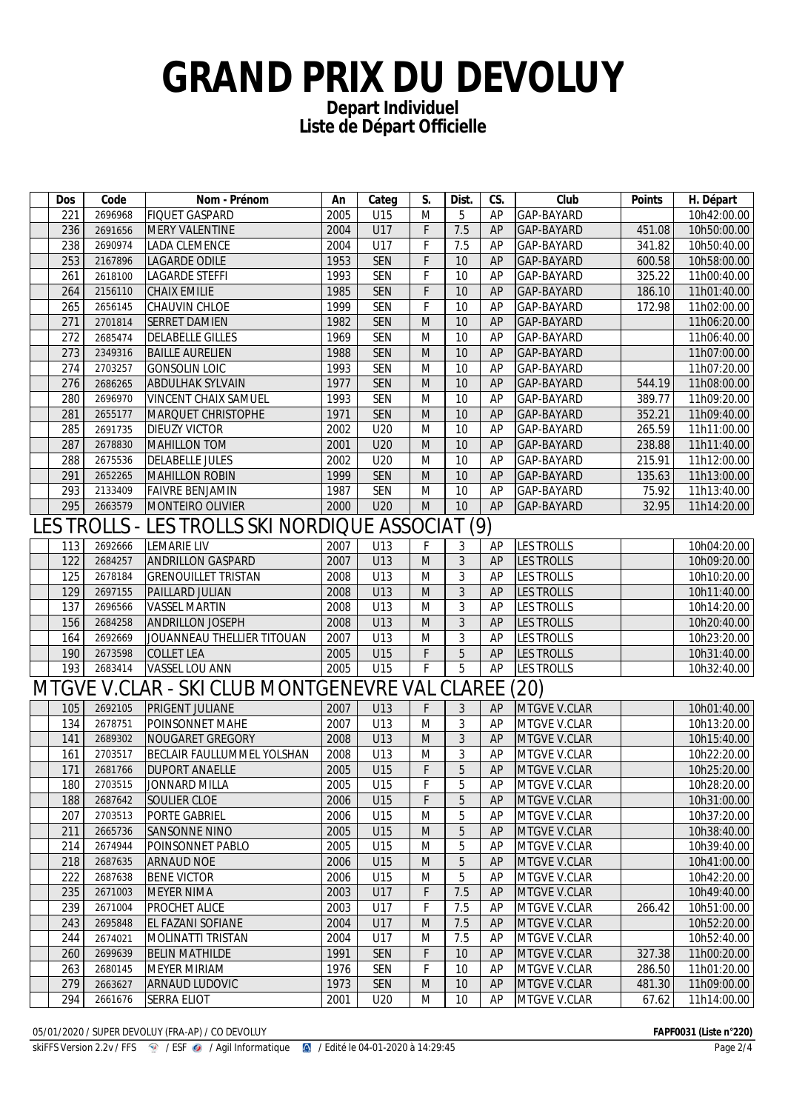# **GRAND PRIX DU DEVOLUY**

**Depart Individuel Liste de Départ Officielle**

|                                                        | <b>Dos</b> | Code               | Nom - Prénom                                          | An           | Categ      | S.             | Dist.          | CS.      | Club                         | <b>Points</b> | H. Départ                  |
|--------------------------------------------------------|------------|--------------------|-------------------------------------------------------|--------------|------------|----------------|----------------|----------|------------------------------|---------------|----------------------------|
|                                                        | 221        | 2696968            | <b>FIQUET GASPARD</b>                                 | 2005         | U15        | M              | 5              | AP       | GAP-BAYARD                   |               | 10h42:00.00                |
|                                                        | 236        | 2691656            | MERY VALENTINE                                        | 2004         | U17        | F              | 7.5            | AP       | GAP-BAYARD                   | 451.08        | 10h50:00.00                |
|                                                        | 238        | 2690974            | LADA CLEMENCE                                         | 2004         | U17        | F              | 7.5            | AP       | GAP-BAYARD                   | 341.82        | 10h50:40.00                |
|                                                        | 253        | 2167896            | <b>LAGARDE ODILE</b>                                  | 1953         | <b>SEN</b> | F              | 10             | AP       | GAP-BAYARD                   | 600.58        | 10h58:00.00                |
|                                                        | 261        | 2618100            | LAGARDE STEFFI                                        | 1993         | <b>SEN</b> | F              | 10             | AP       | GAP-BAYARD                   | 325.22        | 11h00:40.00                |
|                                                        | 264        | 2156110            | <b>CHAIX EMILIE</b>                                   | 1985         | <b>SEN</b> | F              | 10             | AP       | GAP-BAYARD                   | 186.10        | 11h01:40.00                |
|                                                        | 265        | 2656145            | CHAUVIN CHLOE                                         | 1999         | <b>SEN</b> | F              | 10             | AP       | GAP-BAYARD                   | 172.98        | 11h02:00.00                |
|                                                        | 271        | 2701814            | <b>SERRET DAMIEN</b>                                  | 1982         | <b>SEN</b> | M              | 10             | AP       | GAP-BAYARD                   |               | 11h06:20.00                |
|                                                        | 272        | 2685474            | <b>DELABELLE GILLES</b>                               | 1969         | <b>SEN</b> | M              | 10             | AP       | GAP-BAYARD                   |               | 11h06:40.00                |
|                                                        | 273        | 2349316            | <b>BAILLE AURELIEN</b>                                | 1988         | <b>SEN</b> | M              | 10             | AP       | GAP-BAYARD                   |               | 11h07:00.00                |
|                                                        | 274        | 2703257            | <b>GONSOLIN LOIC</b>                                  | 1993         | <b>SEN</b> | M              | 10             | AP       | GAP-BAYARD                   |               | 11h07:20.00                |
|                                                        | 276        | 2686265            | <b>ABDULHAK SYLVAIN</b>                               | 1977         | <b>SEN</b> | M              | 10             | AP       | GAP-BAYARD                   | 544.19        | 11h08:00.00                |
|                                                        | 280        | 2696970            | VINCENT CHAIX SAMUEL                                  | 1993         | <b>SEN</b> | M              | 10             | AP       | GAP-BAYARD                   | 389.77        | 11h09:20.00                |
|                                                        | 281        | 2655177            | <b>MARQUET CHRISTOPHE</b>                             | 1971         | <b>SEN</b> | M              | 10             | AP       | GAP-BAYARD                   | 352.21        | 11h09:40.00                |
|                                                        | 285        | 2691735            | <b>DIEUZY VICTOR</b>                                  | 2002         | U20        | M              | 10             | AP       | GAP-BAYARD                   | 265.59        | 11h11:00.00                |
|                                                        | 287        | 2678830            | MAHILLON TOM                                          | 2001         | U20        | M              | 10             | AP       | GAP-BAYARD                   | 238.88        | 11h11:40.00                |
|                                                        | 288        | 2675536            | <b>DELABELLE JULES</b>                                | 2002         | U20        | M              | 10             | AP       | GAP-BAYARD                   | 215.91        | 11h12:00.00                |
|                                                        | 291        | 2652265            | MAHILLON ROBIN                                        | 1999         | <b>SEN</b> | M              | 10             | AP       | GAP-BAYARD                   | 135.63        | 11h13:00.00                |
|                                                        | 293        | 2133409            | <b>FAIVRE BENJAMIN</b>                                | 1987         | <b>SEN</b> | M              | 10             | AP       | GAP-BAYARD                   | 75.92         | 11h13:40.00                |
|                                                        | 295        | 2663579            | MONTEIRO OLIVIER                                      | 2000         | U20        | M              | 10             | AP       | GAP-BAYARD                   | 32.95         | 11h14:20.00                |
|                                                        |            |                    | LES TROLLS - LES TROLLS SKI NORDIQUE ASSOCIAT (9)     |              |            |                |                |          |                              |               |                            |
|                                                        | 113        | 2692666            | LEMARIE LIV                                           | 2007         | U13        | F              | 3              | AP       | <b>LES TROLLS</b>            |               | 10h04:20.00                |
|                                                        | 122        | 2684257            | <b>ANDRILLON GASPARD</b>                              | 2007         | U13        | M              | 3              | AP       | <b>LES TROLLS</b>            |               | 10h09:20.00                |
|                                                        | 125        | 2678184            | <b>GRENOUILLET TRISTAN</b>                            | 2008         | U13        | M              | 3              | AP       | <b>LES TROLLS</b>            |               | 10h10:20.00                |
|                                                        | 129        | 2697155            | PAILLARD JULIAN                                       | 2008         | U13        | M              | 3              | AP       | <b>LES TROLLS</b>            |               | 10h11:40.00                |
|                                                        | 137        | 2696566            | VASSEL MARTIN                                         | 2008         | U13        | M              | 3              | AP       | <b>LES TROLLS</b>            |               | 10h14:20.00                |
|                                                        | 156        | 2684258            | <b>ANDRILLON JOSEPH</b>                               | 2008         | U13        | M              | 3              | AP       | <b>LES TROLLS</b>            |               | 10h20:40.00                |
|                                                        | 164        | 2692669            | JOUANNEAU THELLIER TITOUAN                            | 2007         | U13        | M              | 3              | AP       | <b>LES TROLLS</b>            |               | 10h23:20.00                |
|                                                        | 190        | 2673598            | COLLET LEA                                            | 2005         | U15        | F              | 5              | AP       | <b>LES TROLLS</b>            |               | 10h31:40.00                |
|                                                        | 193        | 2683414            | VASSEL LOU ANN                                        | 2005         | U15        | F              | 5              | AP       | <b>LES TROLLS</b>            |               | 10h32:40.00                |
| MTGVE V.CLAR - SKI CLUB MONTGENEVRE VAL CLAREE<br>(20) |            |                    |                                                       |              |            |                |                |          |                              |               |                            |
|                                                        |            |                    |                                                       |              |            |                |                |          |                              |               |                            |
|                                                        | 105        | 2692105            | <b>PRIGENT JULIANE</b>                                | 2007         | U13        | F              | 3              | AP       | <b>MTGVE V.CLAR</b>          |               | 10h01:40.00                |
|                                                        | 134        | 2678751            | POINSONNET MAHE                                       | 2007         | U13        | M              | 3              | AP       | MTGVE V.CLAR                 |               | 10h13:20.00                |
|                                                        | 141<br>161 | 2689302<br>2703517 | NOUGARET GREGORY<br><b>BECLAIR FAULLUMMEL YOLSHAN</b> | 2008<br>2008 | U13<br>U13 | M<br>M         | 3<br>3         | AP<br>AP | MTGVE V.CLAR<br>MTGVE V.CLAR |               | 10h15:40.00<br>10h22:20.00 |
|                                                        |            |                    |                                                       |              |            | F              | 5              |          |                              |               |                            |
|                                                        | 171<br>180 | 2681766<br>2703515 | <b>DUPORT ANAELLE</b><br>JONNARD MILLA                | 2005<br>2005 | U15<br>U15 | $\overline{F}$ | $\overline{5}$ | AP<br>AP | MTGVE V.CLAR<br>MTGVE V.CLAR |               | 10h25:20.00<br>10h28:20.00 |
|                                                        | 188        | 2687642            | SOULIER CLOE                                          | 2006         | U15        | F              | 5              | AP       | MTGVE V.CLAR                 |               |                            |
|                                                        |            | 2703513            |                                                       |              |            |                | 5              | AP       |                              |               | 10h31:00.00                |
|                                                        | 207        |                    | <b>PORTE GABRIEL</b>                                  | 2006         | U15        | M              |                |          | MTGVE V.CLAR                 |               | 10h37:20.00<br>10h38:40.00 |
|                                                        | 211        | 2665736<br>2674944 | SANSONNE NINO<br>POINSONNET PABLO                     | 2005         | U15        | M              | 5<br>5         | AP       | MTGVE V.CLAR                 |               |                            |
|                                                        | 214<br>218 |                    |                                                       | 2005         | U15<br>U15 | M              | 5              | AP       | MTGVE V.CLAR                 |               | 10h39:40.00<br>10h41:00.00 |
|                                                        | 222        | 2687635<br>2687638 | <b>ARNAUD NOE</b><br><b>BENE VICTOR</b>               | 2006<br>2006 | U15        | M<br>M         | 5              | AP<br>AP | MTGVE V.CLAR<br>MTGVE V.CLAR |               | 10h42:20.00                |
|                                                        |            | 2671003            |                                                       |              |            |                |                |          |                              |               |                            |
|                                                        | 235        |                    | MEYER NIMA                                            | 2003         | U17        | F              | 7.5            | AP       | MTGVE V.CLAR                 |               | 10h49:40.00                |
|                                                        | 239        | 2671004<br>2695848 | <b>PROCHET ALICE</b>                                  | 2003         | U17        | F              | 7.5            | AP       | MTGVE V.CLAR                 | 266.42        | 10h51:00.00<br>10h52:20.00 |
|                                                        | 243        |                    | <b>EL FAZANI SOFIANE</b>                              | 2004         | U17        | M              | 7.5<br>7.5     | AP       | MTGVE V.CLAR                 |               |                            |
|                                                        | 244        | 2674021            | MOLINATTI TRISTAN                                     | 2004         | U17        | M              |                | AP       | MTGVE V.CLAR                 |               | 10h52:40.00                |
|                                                        | 260        | 2699639            | <b>BELIN MATHILDE</b>                                 | 1991         | <b>SEN</b> | F              | 10             | AP       | MTGVE V.CLAR                 | 327.38        | 11h00:20.00                |
|                                                        | 263        | 2680145            | <b>MEYER MIRIAM</b>                                   | 1976         | SEN        | F              | 10             | AP       | MTGVE V.CLAR                 | 286.50        | 11h01:20.00                |
|                                                        | 279        | 2663627            | <b>ARNAUD LUDOVIC</b>                                 | 1973         | <b>SEN</b> | M              | 10             | AP       | MTGVE V.CLAR                 | 481.30        | 11h09:00.00                |
|                                                        | 294        | 2661676            | <b>SERRA ELIOT</b>                                    | 2001         | U20        | M              | 10             | AP       | MTGVE V.CLAR                 | 67.62         | 11h14:00.00                |

05/01/2020 / SUPER DEVOLUY (FRA-AP) / CO DEVOLUY **FAPF0031 (Liste n°220)**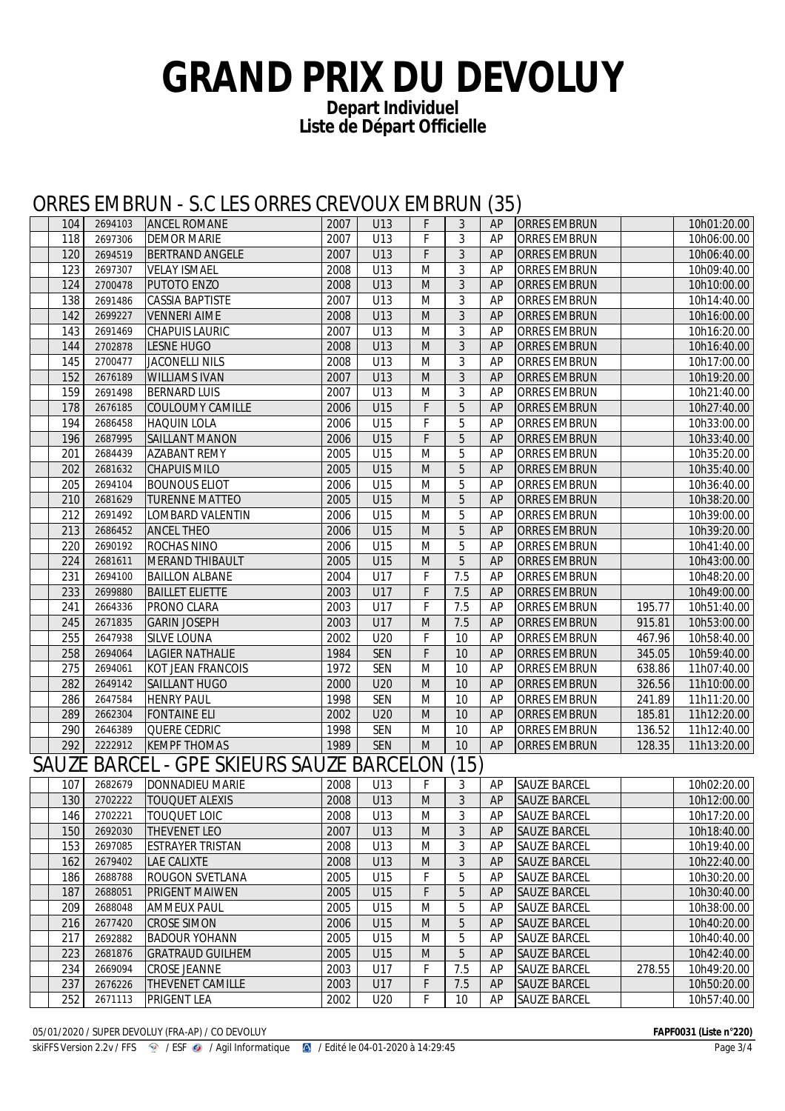### **GRAND PRIX DU DEVOLUY**

**Depart Individuel Liste de Départ Officielle**

#### ORRES EMBRUN - S.C LES ORRES CREVOUX EMBRUN (35)

| 104 | 2694103 | <b>ANCEL ROMANE</b>                       | 2007 | U13        | F                                                                                                          | 3    | AP | <b>ORRES EMBRUN</b> |        | 10h01:20.00 |
|-----|---------|-------------------------------------------|------|------------|------------------------------------------------------------------------------------------------------------|------|----|---------------------|--------|-------------|
| 118 | 2697306 | <b>DEMOR MARIE</b>                        | 2007 | U13        | F                                                                                                          | 3    | AP | <b>ORRES EMBRUN</b> |        | 10h06:00.00 |
| 120 | 2694519 | <b>BERTRAND ANGELE</b>                    | 2007 | U13        | F                                                                                                          | 3    | AP | <b>ORRES EMBRUN</b> |        | 10h06:40.00 |
| 123 | 2697307 | <b>VELAY ISMAEL</b>                       | 2008 | U13        | M                                                                                                          | 3    | AP | <b>ORRES EMBRUN</b> |        | 10h09:40.00 |
| 124 | 2700478 | <b>PUTOTO ENZO</b>                        | 2008 | U13        | M                                                                                                          | 3    | AP | <b>ORRES EMBRUN</b> |        | 10h10:00.00 |
| 138 | 2691486 | <b>CASSIA BAPTISTE</b>                    | 2007 | U13        | M                                                                                                          | 3    | AP | <b>ORRES EMBRUN</b> |        | 10h14:40.00 |
| 142 | 2699227 | <b>VENNERI AIME</b>                       | 2008 | U13        | $\mathsf{M}% _{T}=\mathsf{M}_{T}\!\left( a,b\right) ,\ \mathsf{M}_{T}=\mathsf{M}_{T}\!\left( a,b\right) ,$ | 3    | AP | <b>ORRES EMBRUN</b> |        | 10h16:00.00 |
| 143 | 2691469 | <b>CHAPUIS LAURIC</b>                     | 2007 | U13        | M                                                                                                          | 3    | AP | ORRES EMBRUN        |        | 10h16:20.00 |
| 144 | 2702878 | <b>LESNE HUGO</b>                         | 2008 | U13        | M                                                                                                          | 3    | AP | <b>ORRES EMBRUN</b> |        | 10h16:40.00 |
| 145 | 2700477 | <b>JACONELLI NILS</b>                     | 2008 | U13        | M                                                                                                          | 3    | AP | <b>ORRES EMBRUN</b> |        | 10h17:00.00 |
| 152 | 2676189 | <b>WILLIAMS IVAN</b>                      | 2007 | U13        | M                                                                                                          | 3    | AP | <b>ORRES EMBRUN</b> |        | 10h19:20.00 |
| 159 | 2691498 | <b>BERNARD LUIS</b>                       | 2007 | U13        | M                                                                                                          | 3    | AP | ORRES EMBRUN        |        | 10h21:40.00 |
| 178 | 2676185 | COULOUMY CAMILLE                          | 2006 | U15        | F                                                                                                          | 5    | AP | ORRES EMBRUN        |        | 10h27:40.00 |
| 194 | 2686458 | <b>HAQUIN LOLA</b>                        | 2006 | U15        | F                                                                                                          | 5    | AP | <b>ORRES EMBRUN</b> |        | 10h33:00.00 |
| 196 | 2687995 | SAILLANT MANON                            | 2006 | U15        | F                                                                                                          | 5    | AP | <b>ORRES EMBRUN</b> |        | 10h33:40.00 |
| 201 | 2684439 | <b>AZABANT REMY</b>                       | 2005 | U15        | M                                                                                                          | 5    | AP | <b>ORRES EMBRUN</b> |        | 10h35:20.00 |
| 202 | 2681632 | <b>CHAPUIS MILO</b>                       | 2005 | U15        | M                                                                                                          | 5    | AP | <b>ORRES EMBRUN</b> |        | 10h35:40.00 |
| 205 | 2694104 | <b>BOUNOUS ELIOT</b>                      | 2006 | U15        | M                                                                                                          | 5    | AP | ORRES EMBRUN        |        | 10h36:40.00 |
| 210 | 2681629 | <b>TURENNE MATTEO</b>                     | 2005 | U15        | M                                                                                                          | 5    | AP | <b>ORRES EMBRUN</b> |        | 10h38:20.00 |
| 212 | 2691492 | LOMBARD VALENTIN                          | 2006 | U15        | M                                                                                                          | 5    | AP | <b>ORRES EMBRUN</b> |        | 10h39:00.00 |
| 213 | 2686452 | <b>ANCEL THEO</b>                         | 2006 | U15        | M                                                                                                          | 5    | AP | <b>ORRES EMBRUN</b> |        | 10h39:20.00 |
| 220 | 2690192 | ROCHAS NINO                               | 2006 | U15        | M                                                                                                          | 5    | AP | <b>ORRES EMBRUN</b> |        | 10h41:40.00 |
| 224 | 2681611 | MERAND THIBAULT                           | 2005 | U15        | $\mathsf{M}% _{T}=\mathsf{M}_{T}\!\left( a,b\right) ,\ \mathsf{M}_{T}=\mathsf{M}_{T}\!\left( a,b\right) ,$ | 5    | AP | <b>ORRES EMBRUN</b> |        | 10h43:00.00 |
| 231 | 2694100 | <b>BAILLON ALBANE</b>                     | 2004 | U17        | F                                                                                                          | 7.5  | AP | <b>ORRES EMBRUN</b> |        | 10h48:20.00 |
| 233 | 2699880 | <b>BAILLET ELIETTE</b>                    | 2003 | U17        | F                                                                                                          | 7.5  | AP | <b>ORRES EMBRUN</b> |        | 10h49:00.00 |
| 241 | 2664336 | PRONO CLARA                               | 2003 | U17        | F                                                                                                          | 7.5  | AP | <b>ORRES EMBRUN</b> | 195.77 | 10h51:40.00 |
| 245 | 2671835 | <b>GARIN JOSEPH</b>                       | 2003 | U17        | M                                                                                                          | 7.5  | AP | <b>ORRES EMBRUN</b> | 915.81 | 10h53:00.00 |
| 255 | 2647938 | <b>SILVE LOUNA</b>                        | 2002 | U20        | F                                                                                                          | 10   | AP | ORRES EMBRUN        | 467.96 | 10h58:40.00 |
| 258 | 2694064 | <b>LAGIER NATHALIE</b>                    | 1984 | <b>SEN</b> | F                                                                                                          | 10   | AP | <b>ORRES EMBRUN</b> | 345.05 | 10h59:40.00 |
| 275 | 2694061 | KOT JEAN FRANCOIS                         | 1972 | <b>SEN</b> | M                                                                                                          | 10   | AP | ORRES EMBRUN        | 638.86 | 11h07:40.00 |
| 282 | 2649142 | SAILLANT HUGO                             | 2000 | U20        | M                                                                                                          | 10   | AP | <b>ORRES EMBRUN</b> | 326.56 | 11h10:00.00 |
| 286 | 2647584 | <b>HENRY PAUL</b>                         | 1998 | <b>SEN</b> | M                                                                                                          | 10   | AP | <b>ORRES EMBRUN</b> | 241.89 | 11h11:20.00 |
| 289 | 2662304 | <b>FONTAINE ELI</b>                       | 2002 | U20        | M                                                                                                          | 10   | AP | <b>ORRES EMBRUN</b> | 185.81 | 11h12:20.00 |
| 290 | 2646389 | QUERE CEDRIC                              | 1998 | <b>SEN</b> | M                                                                                                          | 10   | AP | ORRES EMBRUN        | 136.52 | 11h12:40.00 |
| 292 | 2222912 | <b>KEMPF THOMAS</b>                       | 1989 | <b>SEN</b> | M                                                                                                          | 10   | AP | <b>ORRES EMBRUN</b> | 128.35 | 11h13:20.00 |
|     |         | SAUZE BARCEL - GPE SKIEURS SAUZE BARCELON |      |            |                                                                                                            | (15) |    |                     |        |             |
| 107 | 2682679 | DONNADIEU MARIE                           | 2008 | U13        | F                                                                                                          | 3    | AP | <b>SAUZE BARCEL</b> |        | 10h02:20.00 |
| 130 | 2702222 | <b>TOUQUET ALEXIS</b>                     | 2008 | U13        | M                                                                                                          | 3    | AP | <b>SAUZE BARCEL</b> |        | 10h12:00.00 |
| 146 | 2702221 | <b>TOUQUET LOIC</b>                       | 2008 | U13        | M                                                                                                          | 3    | AP | <b>SAUZE BARCEL</b> |        | 10h17:20.00 |
| 150 | 2692030 | <b>THEVENET LEO</b>                       | 2007 | U13        | ${\sf M}$                                                                                                  | 3    | AP | <b>SAUZE BARCEL</b> |        | 10h18:40.00 |
| 153 | 2697085 | <b>ESTRAYER TRISTAN</b>                   | 2008 | U13        | M                                                                                                          | 3    | AP | <b>SAUZE BARCEL</b> |        | 10h19:40.00 |
| 162 | 2679402 | LAE CALIXTE                               | 2008 | U13        | M                                                                                                          | 3    | AP | SAUZE BARCEL        |        | 10h22:40.00 |
| 186 | 2688788 | ROUGON SVETLANA                           | 2005 | U15        | F                                                                                                          | 5    | AP | <b>SAUZE BARCEL</b> |        | 10h30:20.00 |
| 187 | 2688051 | PRIGENT MAIWEN                            | 2005 | U15        | F                                                                                                          | 5    | AP | <b>SAUZE BARCEL</b> |        | 10h30:40.00 |
| 209 | 2688048 | <b>AMMEUX PAUL</b>                        | 2005 | U15        | M                                                                                                          | 5    | AP | <b>SAUZE BARCEL</b> |        | 10h38:00.00 |
| 216 | 2677420 | <b>CROSE SIMON</b>                        | 2006 | U15        | M                                                                                                          | 5    | AP | <b>SAUZE BARCEL</b> |        | 10h40:20.00 |
| 217 | 2692882 | <b>BADOUR YOHANN</b>                      | 2005 | U15        | M                                                                                                          | 5    | AP | SAUZE BARCEL        |        | 10h40:40.00 |
| 223 | 2681876 | <b>GRATRAUD GUILHEM</b>                   | 2005 | U15        | ${\sf M}$                                                                                                  | 5    | AP | <b>SAUZE BARCEL</b> |        | 10h42:40.00 |
| 234 | 2669094 | <b>CROSE JEANNE</b>                       | 2003 | U17        | F                                                                                                          | 7.5  | AP | <b>SAUZE BARCEL</b> | 278.55 | 10h49:20.00 |
| 237 | 2676226 | THEVENET CAMILLE                          | 2003 | U17        | F                                                                                                          | 7.5  | AP | <b>SAUZE BARCEL</b> |        | 10h50:20.00 |
| 252 | 2671113 | <b>PRIGENT LEA</b>                        | 2002 | U20        | F                                                                                                          | 10   | AP | SAUZE BARCEL        |        | 10h57:40.00 |

05/01/2020 / SUPER DEVOLUY (FRA-AP) / CO DEVOLUY **FAPF0031 (Liste n°220)**